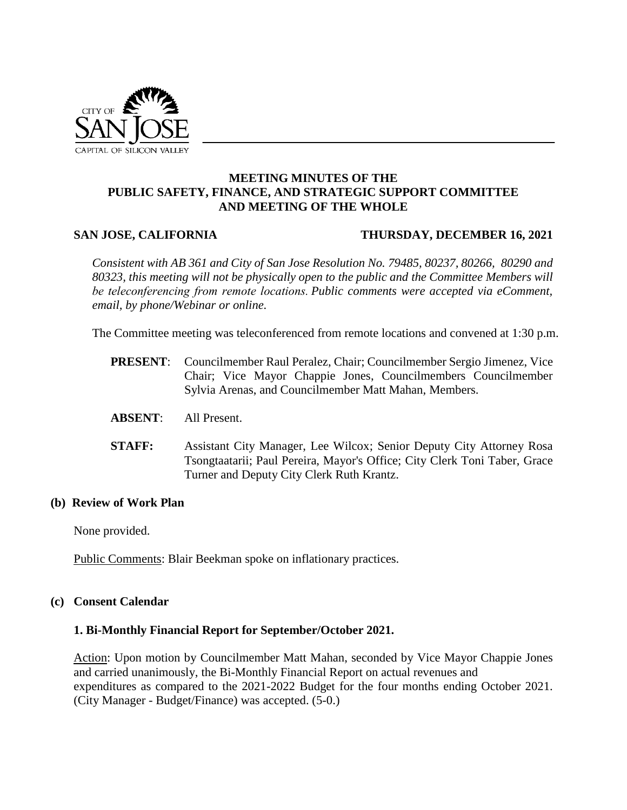

## **MEETING MINUTES OF THE PUBLIC SAFETY, FINANCE, AND STRATEGIC SUPPORT COMMITTEE AND MEETING OF THE WHOLE**

#### **SAN JOSE, CALIFORNIA THURSDAY, DECEMBER 16, 2021**

*Consistent with AB 361 and City of San Jose Resolution No. 79485, 80237, 80266, 80290 and 80323, this meeting will not be physically open to the public and the Committee Members will be teleconferencing from remote locations. Public comments were accepted via eComment, email, by phone/Webinar or online.*

The Committee meeting was teleconferenced from remote locations and convened at 1:30 p.m.

- **PRESENT**: Councilmember Raul Peralez, Chair; Councilmember Sergio Jimenez, Vice Chair; Vice Mayor Chappie Jones, Councilmembers Councilmember Sylvia Arenas, and Councilmember Matt Mahan, Members.
- **ABSENT**: All Present.
- **STAFF:** Assistant City Manager, Lee Wilcox; Senior Deputy City Attorney Rosa Tsongtaatarii; Paul Pereira, Mayor's Office; City Clerk Toni Taber, Grace Turner and Deputy City Clerk Ruth Krantz.

#### **(b) Review of Work Plan**

None provided.

Public Comments: Blair Beekman spoke on inflationary practices.

#### **(c) Consent Calendar**

#### **1. Bi-Monthly Financial Report for September/October 2021.**

Action: Upon motion by Councilmember Matt Mahan, seconded by Vice Mayor Chappie Jones and carried unanimously, the Bi-Monthly Financial Report on actual revenues and expenditures as compared to the 2021-2022 Budget for the four months ending October 2021. (City Manager - Budget/Finance) was accepted. (5-0.)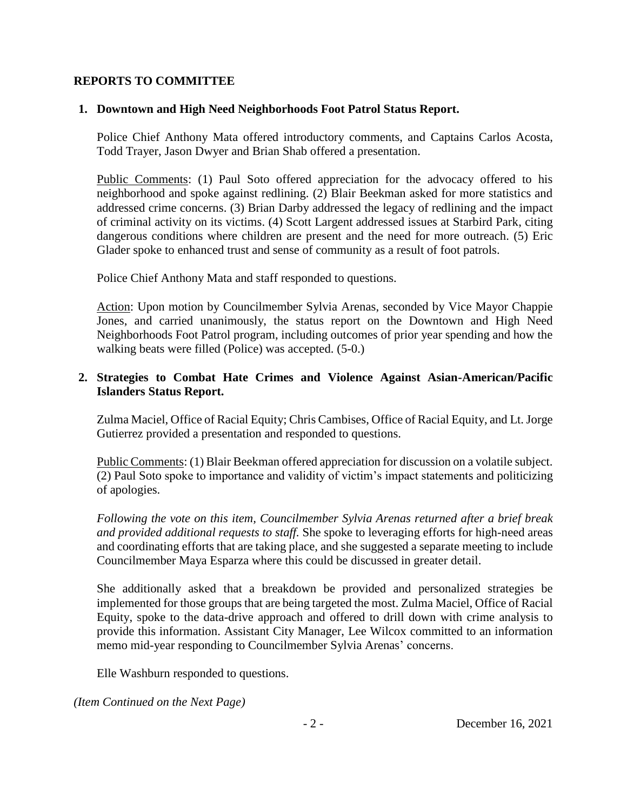## **REPORTS TO COMMITTEE**

## **1. Downtown and High Need Neighborhoods Foot Patrol Status Report.**

Police Chief Anthony Mata offered introductory comments, and Captains Carlos Acosta, Todd Trayer, Jason Dwyer and Brian Shab offered a presentation.

Public Comments: (1) Paul Soto offered appreciation for the advocacy offered to his neighborhood and spoke against redlining. (2) Blair Beekman asked for more statistics and addressed crime concerns. (3) Brian Darby addressed the legacy of redlining and the impact of criminal activity on its victims. (4) Scott Largent addressed issues at Starbird Park, citing dangerous conditions where children are present and the need for more outreach. (5) Eric Glader spoke to enhanced trust and sense of community as a result of foot patrols.

Police Chief Anthony Mata and staff responded to questions.

Action: Upon motion by Councilmember Sylvia Arenas, seconded by Vice Mayor Chappie Jones, and carried unanimously, the status report on the Downtown and High Need Neighborhoods Foot Patrol program, including outcomes of prior year spending and how the walking beats were filled (Police) was accepted. (5-0.)

# **2. Strategies to Combat Hate Crimes and Violence Against Asian-American/Pacific Islanders Status Report.**

Zulma Maciel, Office of Racial Equity; Chris Cambises, Office of Racial Equity, and Lt. Jorge Gutierrez provided a presentation and responded to questions.

Public Comments: (1) Blair Beekman offered appreciation for discussion on a volatile subject. (2) Paul Soto spoke to importance and validity of victim's impact statements and politicizing of apologies.

*Following the vote on this item, Councilmember Sylvia Arenas returned after a brief break and provided additional requests to staff.* She spoke to leveraging efforts for high-need areas and coordinating efforts that are taking place, and she suggested a separate meeting to include Councilmember Maya Esparza where this could be discussed in greater detail.

She additionally asked that a breakdown be provided and personalized strategies be implemented for those groups that are being targeted the most. Zulma Maciel, Office of Racial Equity, spoke to the data-drive approach and offered to drill down with crime analysis to provide this information. Assistant City Manager, Lee Wilcox committed to an information memo mid-year responding to Councilmember Sylvia Arenas' concerns.

Elle Washburn responded to questions.

*(Item Continued on the Next Page)*